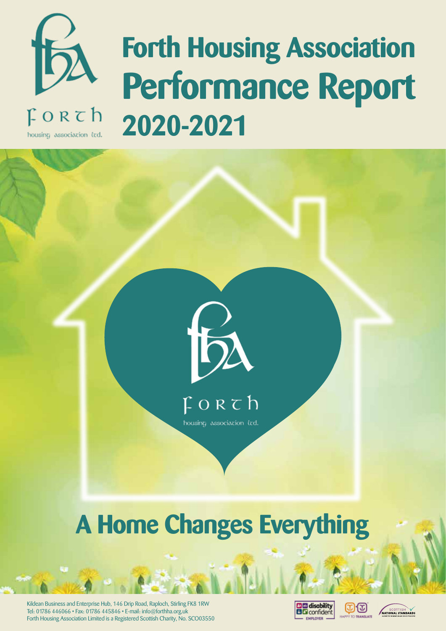

housing association (td.

# **Forth Housing Association Performance Report 2020-2021**





### **A Home Changes Everything**

Kildean Business and Enterprise Hub, 146 Drip Road, Raploch, Stirling FK8 1RW Tel: 01786 446066 • Fax: 01786 445846 • E-mail: info@forthha.org.uk Forth Housing Association Limited is a Registered Scottish Charity, No. SCO03550





ගැග

TO TRANSLATE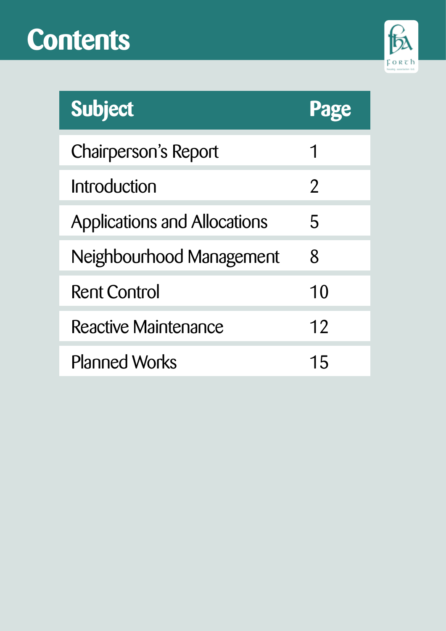## **Contents**



| <b>Subject</b>               |                |
|------------------------------|----------------|
| Chairperson's Report         |                |
| Introduction                 | $\overline{2}$ |
| Applications and Allocations | 5              |
| Neighbourhood Management     | 8              |
| <b>Rent Control</b>          | 10             |
| <b>Reactive Maintenance</b>  | 12             |
| <b>Planned Works</b>         | 15             |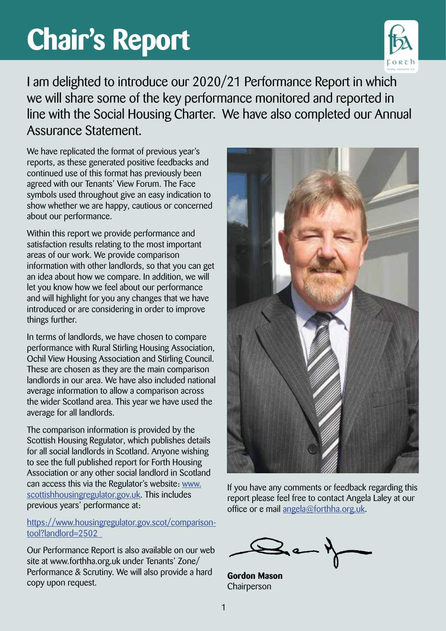# **Chair's Report**



I am delighted to introduce our 2020/21 Performance Report in which we will share some of the key performance monitored and reported in line with the Social Housing Charter. We have also completed our Annual Assurance Statement.

We have replicated the format of previous year's reports, as these generated positive feedbacks and continued use of this format has previously been agreed with our Tenants' View Forum. The Face symbols used throughout give an easy indication to show whether we are happy, cautious or concerned about our performance.

Within this report we provide performance and satisfaction results relating to the most important areas of our work. We provide comparison information with other landlords, so that you can get an idea about how we compare. In addition, we will let you know how we feel about our performance and will highlight for you any changes that we have introduced or are considering in order to improve things further.

In terms of landlords, we have chosen to compare performance with Rural Stirling Housing Association, Ochil View Housing Association and Stirling Council. These are chosen as they are the main comparison landlords in our area. We have also included national average information to allow a comparison across the wider Scotland area. This year we have used the average for all landlords.

The comparison information is provided by the Scottish Housing Regulator, which publishes details for all social landlords in Scotland. Anyone wishing to see the full published report for Forth Housing Association or any other social landlord in Scotland can access this via the Regulator's website: www. scottishhousingregulator.gov.uk. This includes previous years' performance at:

https://www.housingregulator.gov.scot/comparisontool?landlord=2502

Our Performance Report is also available on our web site at www.forthha.org.uk under Tenants' Zone/ Performance & Scrutiny. We will also provide a hard copy upon request.



If you have any comments or feedback regarding this report please feel free to contact Angela Laley at our office or e mail angela@forthha.org.uk.

**Gordon Mason** Chairperson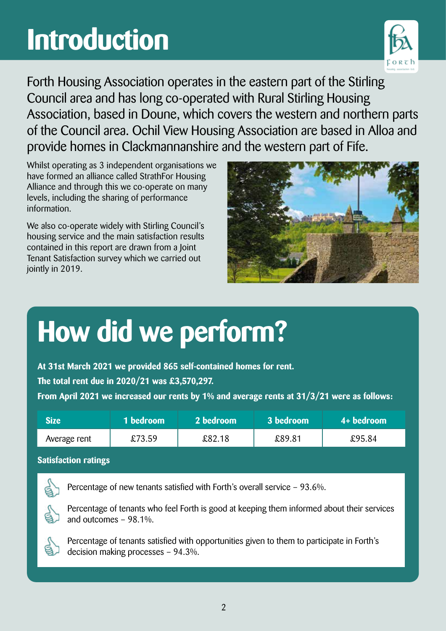## **Introduction**



Forth Housing Association operates in the eastern part of the Stirling Council area and has long co-operated with Rural Stirling Housing Association, based in Doune, which covers the western and northern parts of the Council area. Ochil View Housing Association are based in Alloa and provide homes in Clackmannanshire and the western part of Fife.

Whilst operating as 3 independent organisations we have formed an alliance called StrathFor Housing Alliance and through this we co-operate on many levels, including the sharing of performance information.

We also co-operate widely with Stirling Council's housing service and the main satisfaction results contained in this report are drawn from a Joint Tenant Satisfaction survey which we carried out jointly in 2019.



## **How did we perform?**

**At 31st March 2021 we provided 865 self-contained homes for rent. The total rent due in 2020/21 was £3,570,297. From April 2021 we increased our rents by 1% and average rents at 31/3/21 were as follows:**

| Size <b>I</b> | 1 bedroom | a 2 bedroom | 3 bedroom | $4+$ bedroom |
|---------------|-----------|-------------|-----------|--------------|
| Average rent  | £73.59    | £82.18      | £89.81    | £95.84       |

#### **Satisfaction ratings**



Percentage of new tenants satisfied with Forth's overall service – 93.6%.



Percentage of tenants who feel Forth is good at keeping them informed about their services and outcomes – 98.1%.



Percentage of tenants satisfied with opportunities given to them to participate in Forth's decision making processes – 94.3%.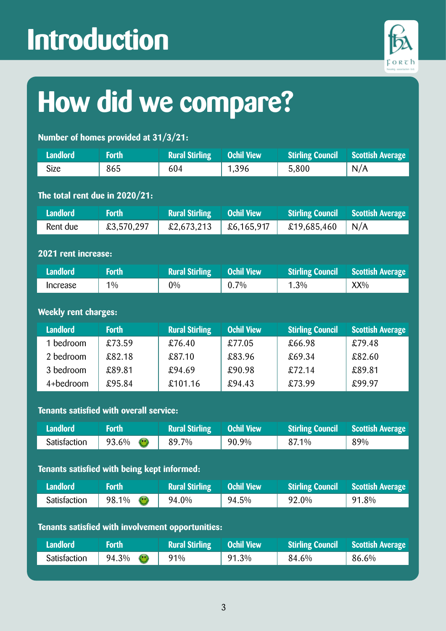## **Introduction**



## **How did we compare?**

#### **Number of homes provided at 31/3/21:**

| <b>Landlord</b>                                | <b>Forth</b>                                | <b>Rural Stirling</b>                             | <b>Ochil View</b> | <b>Stirling Council</b> | <b>Scottish Average</b> |  |
|------------------------------------------------|---------------------------------------------|---------------------------------------------------|-------------------|-------------------------|-------------------------|--|
| <b>Size</b>                                    | 865                                         | 604                                               | 1,396             | 5,800                   | N/A                     |  |
|                                                |                                             |                                                   |                   |                         |                         |  |
| The total rent due in 2020/21:                 |                                             |                                                   |                   |                         |                         |  |
| <b>Landlord</b>                                | <b>Forth</b>                                | <b>Rural Stirling</b>                             | <b>Ochil View</b> | <b>Stirling Council</b> | <b>Scottish Average</b> |  |
| Rent due                                       | £3,570,297                                  | £2,673,213                                        | £6,165,917        | £19,685,460             | N/A                     |  |
|                                                |                                             |                                                   |                   |                         |                         |  |
| 2021 rent increase:                            |                                             |                                                   |                   |                         |                         |  |
| <b>Landlord</b>                                | <b>Forth</b>                                | <b>Rural Stirling</b>                             | <b>Ochil View</b> | <b>Stirling Council</b> | <b>Scottish Average</b> |  |
| Increase                                       | 1%                                          | $0\%$                                             | 0.7%              | 1.3%                    | XX%                     |  |
|                                                |                                             |                                                   |                   |                         |                         |  |
| <b>Weekly rent charges:</b>                    |                                             |                                                   |                   |                         |                         |  |
| <b>Landlord</b>                                | <b>Forth</b>                                | <b>Rural Stirling</b>                             | <b>Ochil View</b> | <b>Stirling Council</b> | <b>Scottish Average</b> |  |
| 1 bedroom                                      | £73.59                                      | £76.40                                            | £77.05            | £66.98                  | £79.48                  |  |
| 2 bedroom                                      | £82.18                                      | £87.10                                            | £83.96            | £69.34                  | £82.60                  |  |
| 3 bedroom                                      | £89.81                                      | £94.69                                            | £90.98            | £72.14                  | £89.81                  |  |
| 4+bedroom                                      | £95.84                                      | £101.16                                           | £94.43            | £73.99                  | £99.97                  |  |
|                                                |                                             |                                                   |                   |                         |                         |  |
| <b>Tenants satisfied with overall service:</b> |                                             |                                                   |                   |                         |                         |  |
| <b>Landlord</b>                                | <b>Forth</b>                                | <b>Rural Stirling</b>                             | <b>Ochil View</b> | <b>Stirling Council</b> | <b>Scottish Average</b> |  |
| Satisfaction                                   | 93.6%<br>$\bigodot$                         | 89.7%                                             | 90.9%             | 87.1%                   | 89%                     |  |
|                                                |                                             |                                                   |                   |                         |                         |  |
|                                                | Tenants satisfied with being kept informed: |                                                   |                   |                         |                         |  |
| <b>Landlord</b>                                | <b>Forth</b>                                | <b>Rural Stirling</b>                             | <b>Ochil View</b> | <b>Stirling Council</b> | <b>Scottish Average</b> |  |
| Satisfaction                                   | $\odot$<br>98.1%                            | 94.0%                                             | 94.5%             | 92.0%                   | 91.8%                   |  |
|                                                |                                             |                                                   |                   |                         |                         |  |
|                                                |                                             | Tenants satisfied with involvement opportunities: |                   |                         |                         |  |
| <b>Landlord</b>                                | <b>Forth</b>                                | <b>Rural Stirling</b>                             | <b>Ochil View</b> | <b>Stirling Council</b> | <b>Scottish Average</b> |  |
| Satisfaction                                   | 94.3%<br>$\bullet$                          | 91%                                               | 91.3%             | 84.6%                   | 86.6%                   |  |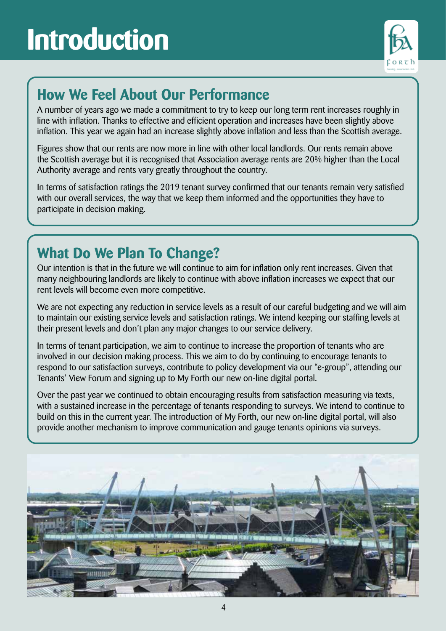### **Introduction**



#### **How We Feel About Our Performance**

A number of years ago we made a commitment to try to keep our long term rent increases roughly in line with inflation. Thanks to effective and efficient operation and increases have been slightly above inflation. This year we again had an increase slightly above inflation and less than the Scottish average.

Figures show that our rents are now more in line with other local landlords. Our rents remain above the Scottish average but it is recognised that Association average rents are 20% higher than the Local Authority average and rents vary greatly throughout the country.

In terms of satisfaction ratings the 2019 tenant survey confirmed that our tenants remain very satisfied with our overall services, the way that we keep them informed and the opportunities they have to participate in decision making.

### **What Do We Plan To Change?**

Our intention is that in the future we will continue to aim for inflation only rent increases. Given that many neighbouring landlords are likely to continue with above inflation increases we expect that our rent levels will become even more competitive.

We are not expecting any reduction in service levels as a result of our careful budgeting and we will aim to maintain our existing service levels and satisfaction ratings. We intend keeping our staffing levels at their present levels and don't plan any major changes to our service delivery.

In terms of tenant participation, we aim to continue to increase the proportion of tenants who are involved in our decision making process. This we aim to do by continuing to encourage tenants to respond to our satisfaction surveys, contribute to policy development via our "e-group", attending our Tenants' View Forum and signing up to My Forth our new on-line digital portal.

Over the past year we continued to obtain encouraging results from satisfaction measuring via texts, with a sustained increase in the percentage of tenants responding to surveys. We intend to continue to build on this in the current year. The introduction of My Forth, our new on-line digital portal, will also provide another mechanism to improve communication and gauge tenants opinions via surveys.

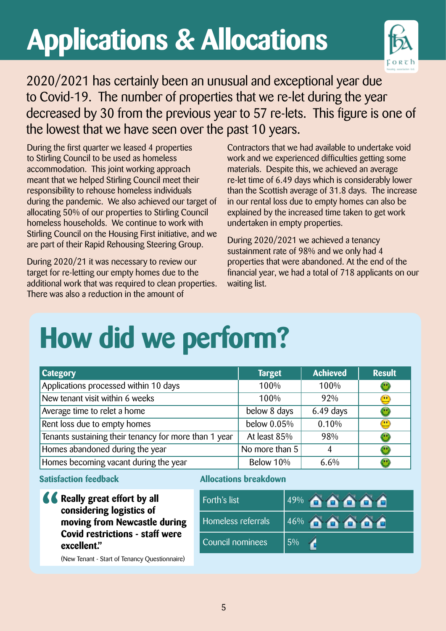# **Applications & Allocations**



2020/2021 has certainly been an unusual and exceptional year due to Covid-19. The number of properties that we re-let during the year decreased by 30 from the previous year to 57 re-lets. This figure is one of the lowest that we have seen over the past 10 years.

During the first quarter we leased 4 properties to Stirling Council to be used as homeless accommodation. This joint working approach meant that we helped Stirling Council meet their responsibility to rehouse homeless individuals during the pandemic. We also achieved our target of allocating 50% of our properties to Stirling Council homeless households. We continue to work with Stirling Council on the Housing First initiative, and we are part of their Rapid Rehousing Steering Group.

During 2020/21 it was necessary to review our target for re-letting our empty homes due to the additional work that was required to clean properties. There was also a reduction in the amount of

Contractors that we had available to undertake void work and we experienced difficulties getting some materials. Despite this, we achieved an average re-let time of 6.49 days which is considerably lower than the Scottish average of 31.8 days. The increase in our rental loss due to empty homes can also be explained by the increased time taken to get work undertaken in empty properties.

During 2020/2021 we achieved a tenancy sustainment rate of 98% and we only had 4 properties that were abandoned. At the end of the financial year, we had a total of 718 applicants on our waiting list.

## **How did we perform?**

| <b>Category</b>                                       | <b>Target</b>  | <b>Achieved</b> | <b>Result</b>                                                                       |
|-------------------------------------------------------|----------------|-----------------|-------------------------------------------------------------------------------------|
| Applications processed within 10 days                 | 100%           | 100%            | U                                                                                   |
| New tenant visit within 6 weeks                       | 100%           | 92%             | $\mathbf{u}$                                                                        |
| Average time to relet a home                          | below 8 days   | 6.49 days       |                                                                                     |
| Rent loss due to empty homes                          | below $0.05\%$ | 0.10%           | $\left( \begin{matrix} \bullet & \bullet \\ \bullet & \bullet \end{matrix} \right)$ |
| Tenants sustaining their tenancy for more than 1 year | At least 85%   | 98%             |                                                                                     |
| Homes abandoned during the year                       | No more than 5 | 4               | 09                                                                                  |
| Homes becoming vacant during the year                 | Below 10%      | 6.6%            |                                                                                     |

**Satisfaction feedback**

**K** Really great effort by all **considering logistics of moving from Newcastle during Covid restrictions - staff were excellent."** 

#### **Allocations breakdown**

| Forth's list       | SOO <sup>'</sup><br>49%        |
|--------------------|--------------------------------|
| Homeless referrals | 46%<br><b>CONTRACTOR</b><br>A. |
| Council nominees   | 5%                             |

(New Tenant - Start of Tenancy Questionnaire)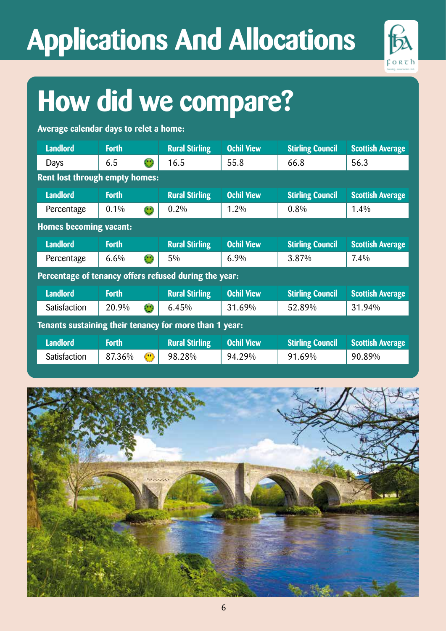# **Applications And Allocations**



## **How did we compare?**

**Average calendar days to relet a home:**

| <b>Landlord</b>                                        | <b>Forth</b> |                                                                    | <b>Rural Stirling</b> | <b>Ochil View</b> | <b>Stirling Council</b> | <b>Scottish Average</b> |
|--------------------------------------------------------|--------------|--------------------------------------------------------------------|-----------------------|-------------------|-------------------------|-------------------------|
| Days                                                   | 6.5          | $\bigodot$                                                         | 16.5                  | 55.8              | 66.8                    | 56.3                    |
| Rent lost through empty homes:                         |              |                                                                    |                       |                   |                         |                         |
| <b>Landlord</b>                                        | <b>Forth</b> |                                                                    | <b>Rural Stirling</b> | <b>Ochil View</b> | <b>Stirling Council</b> | <b>Scottish Average</b> |
| Percentage                                             | 0.1%         | $\left( \bullet \right)$                                           | $0.2\%$               | $1.2\%$           | $0.8\%$                 | 1.4%                    |
| <b>Homes becoming vacant:</b>                          |              |                                                                    |                       |                   |                         |                         |
| <b>Landlord</b>                                        | <b>Forth</b> |                                                                    | <b>Rural Stirling</b> | <b>Ochil View</b> | <b>Stirling Council</b> | <b>Scottish Average</b> |
| Percentage                                             | 6.6%         | $\left(\begin{smallmatrix} 0 & 0 \ 0 & 0 \end{smallmatrix}\right)$ | $5\%$                 | $6.9\%$           | 3.87%                   | $7.4\%$                 |
| Percentage of tenancy offers refused during the year:  |              |                                                                    |                       |                   |                         |                         |
| <b>Landlord</b>                                        | <b>Forth</b> |                                                                    | <b>Rural Stirling</b> | <b>Ochil View</b> | <b>Stirling Council</b> | <b>Scottish Average</b> |
| Satisfaction                                           | 20.9%        | $\left( \bullet\right)$                                            | 6.45%                 | 31.69%            | 52.89%                  | 31.94%                  |
| Tenants sustaining their tenancy for more than 1 year: |              |                                                                    |                       |                   |                         |                         |
| <b>Landlord</b>                                        | <b>Forth</b> |                                                                    | <b>Rural Stirling</b> | <b>Ochil View</b> | <b>Stirling Council</b> | <b>Scottish Average</b> |
| Satisfaction                                           | 87.36%       | $\bigcirc$                                                         | 98.28%                | 94.29%            | 91.69%                  | 90.89%                  |

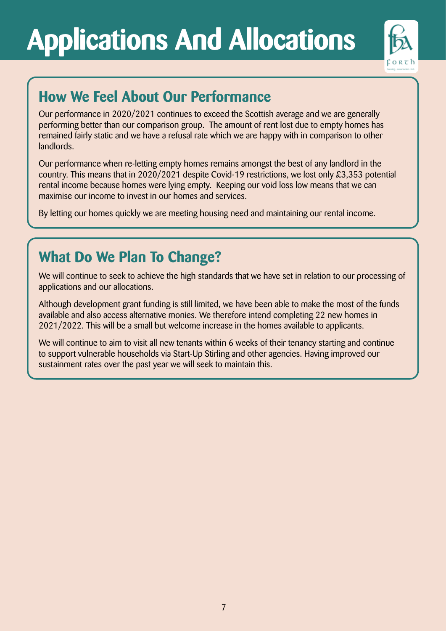# **Applications And Allocations**



### **How We Feel About Our Performance**

Our performance in 2020/2021 continues to exceed the Scottish average and we are generally performing better than our comparison group. The amount of rent lost due to empty homes has remained fairly static and we have a refusal rate which we are happy with in comparison to other landlords.

Our performance when re-letting empty homes remains amongst the best of any landlord in the country. This means that in 2020/2021 despite Covid-19 restrictions, we lost only £3,353 potential rental income because homes were lying empty. Keeping our void loss low means that we can maximise our income to invest in our homes and services.

By letting our homes quickly we are meeting housing need and maintaining our rental income.

#### **What Do We Plan To Change?**

We will continue to seek to achieve the high standards that we have set in relation to our processing of applications and our allocations.

Although development grant funding is still limited, we have been able to make the most of the funds available and also access alternative monies. We therefore intend completing 22 new homes in 2021/2022. This will be a small but welcome increase in the homes available to applicants.

We will continue to aim to visit all new tenants within 6 weeks of their tenancy starting and continue to support vulnerable households via Start-Up Stirling and other agencies. Having improved our sustainment rates over the past year we will seek to maintain this.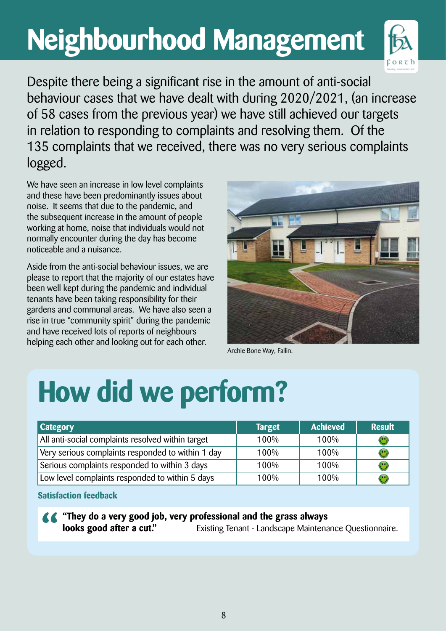# **Neighbourhood Management**



Despite there being a significant rise in the amount of anti-social behaviour cases that we have dealt with during 2020/2021, (an increase of 58 cases from the previous year) we have still achieved our targets in relation to responding to complaints and resolving them. Of the 135 complaints that we received, there was no very serious complaints logged.

We have seen an increase in low level complaints and these have been predominantly issues about noise. It seems that due to the pandemic, and the subsequent increase in the amount of people working at home, noise that individuals would not normally encounter during the day has become noticeable and a nuisance.

Aside from the anti-social behaviour issues, we are please to report that the majority of our estates have been well kept during the pandemic and individual tenants have been taking responsibility for their gardens and communal areas. We have also seen a rise in true "community spirit" during the pandemic and have received lots of reports of neighbours helping each other and looking out for each other.



Archie Bone Way, Fallin.

# **How did we perform?**

| <b>Category</b>                                   | <b>Target</b> | <b>Achieved</b> | <b>Result</b> |
|---------------------------------------------------|---------------|-----------------|---------------|
| All anti-social complaints resolved within target | 100%          | 100%            |               |
| Very serious complaints responded to within 1 day | 100%          | 100%            |               |
| Serious complaints responded to within 3 days     | 100%          | 100%            |               |
| Low level complaints responded to within 5 days   | 100%          | 100%            |               |

**Satisfaction feedback**

**44** "They do a very good job, very professional and the grass always **looks good after a cut."** Existing Tenant - Landscape Maintenance Questionnaire.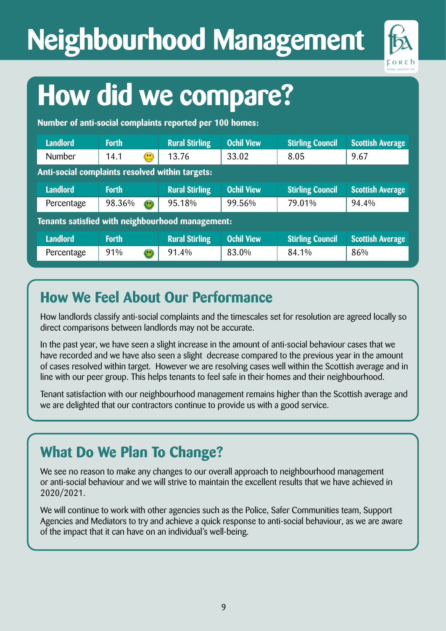# **Neighbourhood Management**



## **How did we compare?**

**Number of anti-social complaints reported per 100 homes:**

| <b>Landlord</b>                                  | <b>Forth</b>                                    |              | <b>Rural Stirling</b> | <b>Ochil View</b> | <b>Stirling Council</b> | <b>Scottish Average</b> |
|--------------------------------------------------|-------------------------------------------------|--------------|-----------------------|-------------------|-------------------------|-------------------------|
| <b>Number</b>                                    | 14.1                                            | $\bigcirc$   | 13.76                 | 33.02             | 8.05                    | 9.67                    |
|                                                  | Anti-social complaints resolved within targets: |              |                       |                   |                         |                         |
| <b>Landlord</b>                                  | <b>Forth</b>                                    |              | <b>Rural Stirling</b> | <b>Ochil View</b> | <b>Stirling Council</b> | <b>Scottish Average</b> |
| Percentage                                       | 98.36%                                          | $\bigodot$   | 95.18%                | 99.56%            | 79.01%                  | 94.4%                   |
| Tenants satisfied with neighbourhood management: |                                                 |              |                       |                   |                         |                         |
| <b>Landlord</b>                                  | <b>Forth</b>                                    |              | <b>Rural Stirling</b> | <b>Ochil View</b> | <b>Stirling Council</b> | <b>Scottish Average</b> |
| Percentage                                       | 91%                                             | $\mathbf{C}$ | 91.4%                 | 83.0%             | 84.1%                   | 86%                     |

#### **How We Feel About Our Performance**

How landlords classify anti-social complaints and the timescales set for resolution are agreed locally so direct comparisons between landlords may not be accurate.

In the past year, we have seen a slight increase in the amount of anti-social behaviour cases that we have recorded and we have also seen a slight decrease compared to the previous year in the amount of cases resolved within target. However we are resolving cases well within the Scottish average and in line with our peer group. This helps tenants to feel safe in their homes and their neighbourhood.

Tenant satisfaction with our neighbourhood management remains higher than the Scottish average and we are delighted that our contractors continue to provide us with a good service.

#### **What Do We Plan To Change?**

We see no reason to make any changes to our overall approach to neighbourhood management or anti-social behaviour and we will strive to maintain the excellent results that we have achieved in 2020/2021.

We will continue to work with other agencies such as the Police, Safer Communities team, Support Agencies and Mediators to try and achieve a quick response to anti-social behaviour, as we are aware of the impact that it can have on an individual's well-being.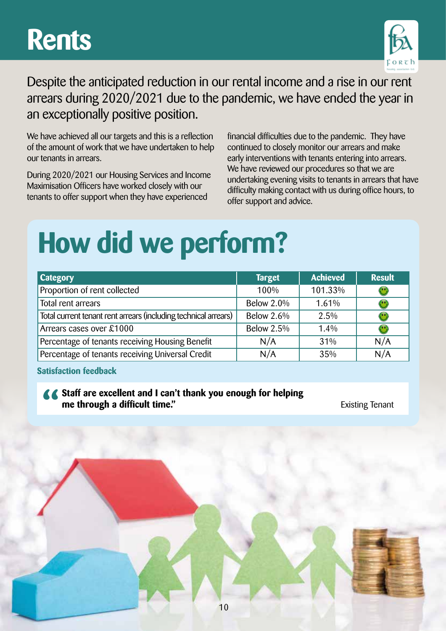### **Rents**



Despite the anticipated reduction in our rental income and a rise in our rent arrears during 2020/2021 due to the pandemic, we have ended the year in an exceptionally positive position.

We have achieved all our targets and this is a reflection of the amount of work that we have undertaken to help our tenants in arrears.

During 2020/2021 our Housing Services and Income Maximisation Officers have worked closely with our tenants to offer support when they have experienced

financial difficulties due to the pandemic. They have continued to closely monitor our arrears and make early interventions with tenants entering into arrears. We have reviewed our procedures so that we are undertaking evening visits to tenants in arrears that have difficulty making contact with us during office hours, to offer support and advice.

### **How did we perform?**

| <b>Category</b>                                                 | <b>Target</b>     | <b>Achieved</b> | <b>Result</b>                                                      |
|-----------------------------------------------------------------|-------------------|-----------------|--------------------------------------------------------------------|
| Proportion of rent collected                                    | 100%              | 101.33%         | $\bigodot$                                                         |
| Total rent arrears                                              | <b>Below 2.0%</b> | 1.61%           |                                                                    |
| Total current tenant rent arrears (including technical arrears) | <b>Below 2.6%</b> | $2.5\%$         |                                                                    |
| Arrears cases over £1000                                        | <b>Below 2.5%</b> | 1.4%            | $\left(\begin{smallmatrix} 0 & 0 \ 0 & 0 \end{smallmatrix}\right)$ |
| Percentage of tenants receiving Housing Benefit                 | N/A               | 31%             | N/A                                                                |
| Percentage of tenants receiving Universal Credit                | N/A               | 35%             | N/A                                                                |

10

**Satisfaction feedback**

#### **Staff are excellent and I can't thank you enough for helping me through a difficult time." Existing Tenant**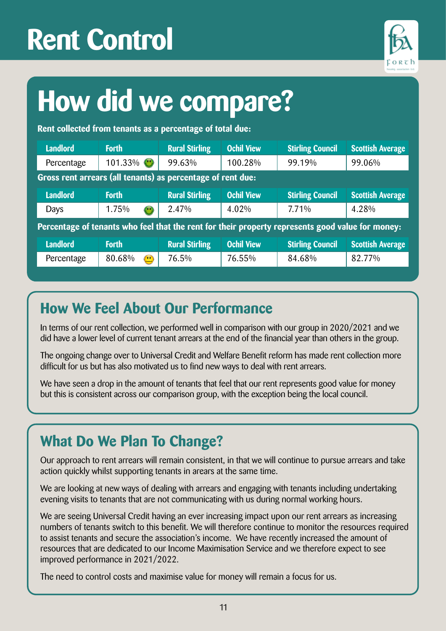## **Rent Control**



## **How did we compare?**

**Rent collected from tenants as a percentage of total due:**

| <b>Landlord</b>                                             | <b>Forth</b>               | <b>Rural Stirling</b> | <b>Ochil View</b> | <b>Stirling Council</b>                                                                          | <b>Scottish Average</b> |
|-------------------------------------------------------------|----------------------------|-----------------------|-------------------|--------------------------------------------------------------------------------------------------|-------------------------|
| Percentage                                                  | 101.33% ①                  | 99.63%                | 100.28%           | 99.19%                                                                                           | 99.06%                  |
| Gross rent arrears (all tenants) as percentage of rent due: |                            |                       |                   |                                                                                                  |                         |
| <b>Landlord</b>                                             | <b>Forth</b>               | <b>Rural Stirling</b> | <b>Ochil View</b> | <b>Stirling Council</b>                                                                          | <b>Scottish Average</b> |
| Days                                                        | 1.75%<br>$\mathbf{\Theta}$ | 2.47%                 | 4.02%             | 7.71%                                                                                            | 4.28%                   |
|                                                             |                            |                       |                   | Percentage of tenants who feel that the rent for their property represents good value for money: |                         |
| <b>Landlord</b>                                             | <b>Forth</b>               | <b>Rural Stirling</b> | <b>Ochil View</b> | <b>Stirling Council</b>                                                                          | <b>Scottish Average</b> |
| Percentage                                                  | 80.68%<br>$\bigcirc$       | 76.5%                 | 76.55%            | 84.68%                                                                                           | 82.77%                  |

#### **How We Feel About Our Performance**

In terms of our rent collection, we performed well in comparison with our group in 2020/2021 and we did have a lower level of current tenant arrears at the end of the financial year than others in the group.

The ongoing change over to Universal Credit and Welfare Benefit reform has made rent collection more difficult for us but has also motivated us to find new ways to deal with rent arrears.

We have seen a drop in the amount of tenants that feel that our rent represents good value for money but this is consistent across our comparison group, with the exception being the local council.

#### **What Do We Plan To Change?**

Our approach to rent arrears will remain consistent, in that we will continue to pursue arrears and take action quickly whilst supporting tenants in arears at the same time.

We are looking at new ways of dealing with arrears and engaging with tenants including undertaking evening visits to tenants that are not communicating with us during normal working hours.

We are seeing Universal Credit having an ever increasing impact upon our rent arrears as increasing numbers of tenants switch to this benefit. We will therefore continue to monitor the resources required to assist tenants and secure the association's income. We have recently increased the amount of resources that are dedicated to our Income Maximisation Service and we therefore expect to see improved performance in 2021/2022.

The need to control costs and maximise value for money will remain a focus for us.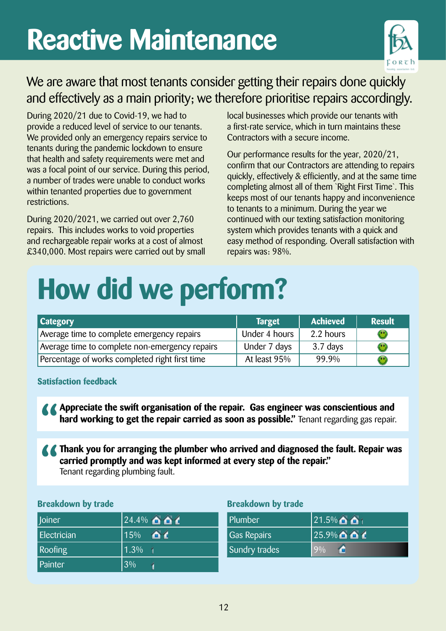## **Reactive Maintenance**



#### We are aware that most tenants consider getting their repairs done quickly and effectively as a main priority; we therefore prioritise repairs accordingly.

During 2020/21 due to Covid-19, we had to provide a reduced level of service to our tenants. We provided only an emergency repairs service to tenants during the pandemic lockdown to ensure that health and safety requirements were met and was a focal point of our service. During this period, a number of trades were unable to conduct works within tenanted properties due to government restrictions.

During 2020/2021, we carried out over 2,760 repairs. This includes works to void properties and rechargeable repair works at a cost of almost £340,000. Most repairs were carried out by small local businesses which provide our tenants with a first-rate service, which in turn maintains these Contractors with a secure income.

Our performance results for the year, 2020/21, confirm that our Contractors are attending to repairs quickly, effectively & efficiently, and at the same time completing almost all of them `Right First Time`. This keeps most of our tenants happy and inconvenience to tenants to a minimum. During the year we continued with our texting satisfaction monitoring system which provides tenants with a quick and easy method of responding. Overall satisfaction with repairs was: 98%.

# **How did we perform?**

| <b>Category</b>                                | <b>Target</b> | <b>Achieved</b> | <b>Result</b>                  |
|------------------------------------------------|---------------|-----------------|--------------------------------|
| Average time to complete emergency repairs     | Under 4 hours | 2.2 hours       | $\langle \cdot, \cdot \rangle$ |
| Average time to complete non-emergency repairs | Under 7 days  | 3.7 days        | u n                            |
| Percentage of works completed right first time | At least 95%  | 99.9%           |                                |

#### **Satisfaction feedback**

**Appreciate the swift organisation of the repair. Gas engineer was conscientious and hard working to get the repair carried as soon as possible."** Tenant regarding gas repair.

**Thank you for arranging the plumber who arrived and diagnosed the fault. Repair was carried promptly and was kept informed at every step of the repair."**  Tenant regarding plumbing fault.

#### **Breakdown by trade Breakdown by trade**

| Joiner             | $24.4\%$ $\bullet$ $\bullet$ $\bullet$ |
|--------------------|----------------------------------------|
| <b>Electrician</b> | $15\%$ ald                             |
| <b>Roofing</b>     | $1.\overline{3\%}$ 1                   |
| Painter            | 3%                                     |

| Plumber            | $21.5\%$ $\bullet$ $\bullet$ 1         |
|--------------------|----------------------------------------|
| <b>Gas Repairs</b> | $25.9\%$ $\bullet$ $\bullet$ $\bullet$ |
| Sundry trades      | 9%                                     |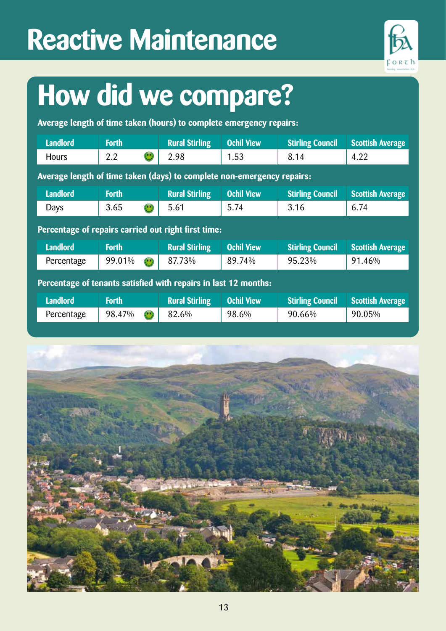## **Reactive Maintenance**



## **How did we compare?**

**Average length of time taken (hours) to complete emergency repairs:**

| <b>Landlord</b>                                                        | <b>Forth</b>                         | <b>Rural Stirling</b> | <b>Ochil View</b> | <b>Stirling Council</b> | <b>Scottish Average</b> |  |  |
|------------------------------------------------------------------------|--------------------------------------|-----------------------|-------------------|-------------------------|-------------------------|--|--|
| <b>Hours</b>                                                           | $\left( \ ^{\bullet }\right)$<br>2.2 | 2.98                  | 1.53              | 8.14                    | 4.22                    |  |  |
| Average length of time taken (days) to complete non-emergency repairs: |                                      |                       |                   |                         |                         |  |  |
| <b>Landlord</b>                                                        | <b>Forth</b>                         | <b>Rural Stirling</b> | <b>Ochil View</b> | <b>Stirling Council</b> | <b>Scottish Average</b> |  |  |
| Days                                                                   | 3.65<br>$(\cdot)$                    | 5.61                  | 5.74              | 3.16                    | 6.74                    |  |  |
| Percentage of repairs carried out right first time:                    |                                      |                       |                   |                         |                         |  |  |
| <b>Landlord</b>                                                        | <b>Forth</b>                         | <b>Rural Stirling</b> | <b>Ochil View</b> | <b>Stirling Council</b> | <b>Scottish Average</b> |  |  |
| Percentage                                                             | 99.01%<br>$\left( \bullet \right)$   | 87.73%                | 89.74%            | 95.23%                  | 91.46%                  |  |  |
| Percentage of tenants satisfied with repairs in last 12 months:        |                                      |                       |                   |                         |                         |  |  |
| <b>Landlord</b>                                                        | <b>Forth</b>                         | <b>Rural Stirling</b> | <b>Ochil View</b> | <b>Stirling Council</b> | <b>Scottish Average</b> |  |  |
| Percentage                                                             | 98.47%<br>$\left( \bullet \right)$   | 82.6%                 | 98.6%             | 90.66%                  | 90.05%                  |  |  |

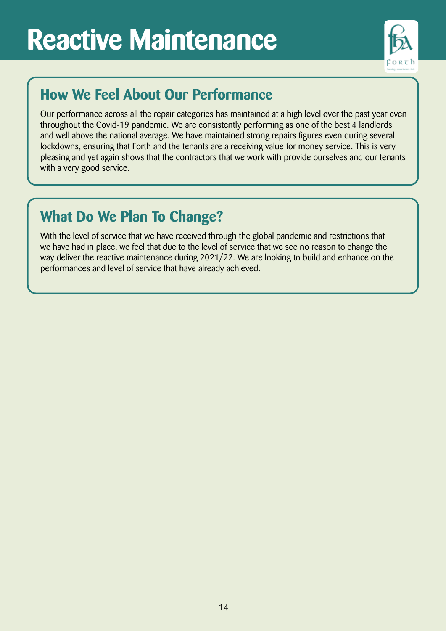## **Reactive Maintenance**



#### **How We Feel About Our Performance**

Our performance across all the repair categories has maintained at a high level over the past year even throughout the Covid-19 pandemic. We are consistently performing as one of the best 4 landlords and well above the national average. We have maintained strong repairs figures even during several lockdowns, ensuring that Forth and the tenants are a receiving value for money service. This is very pleasing and yet again shows that the contractors that we work with provide ourselves and our tenants with a very good service.

#### **What Do We Plan To Change?**

With the level of service that we have received through the global pandemic and restrictions that we have had in place, we feel that due to the level of service that we see no reason to change the way deliver the reactive maintenance during 2021/22. We are looking to build and enhance on the performances and level of service that have already achieved.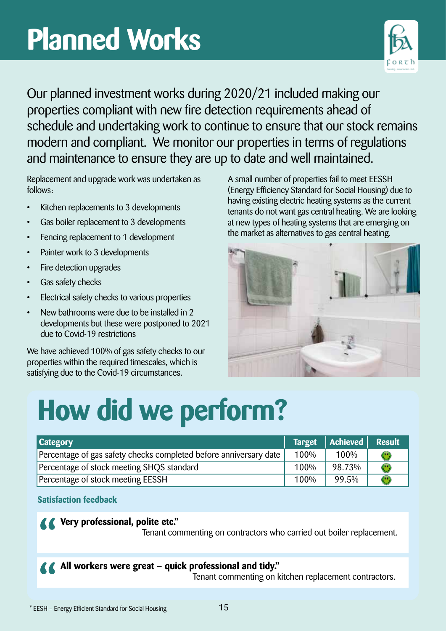## **Planned Works**



Our planned investment works during 2020/21 included making our properties compliant with new fire detection requirements ahead of schedule and undertaking work to continue to ensure that our stock remains modern and compliant. We monitor our properties in terms of regulations and maintenance to ensure they are up to date and well maintained.

Replacement and upgrade work was undertaken as follows:

- Kitchen replacements to 3 developments
- Gas boiler replacement to 3 developments
- Fencing replacement to 1 development
- Painter work to 3 developments
- Fire detection upgrades
- Gas safety checks
- Electrical safety checks to various properties
- New bathrooms were due to be installed in 2 developments but these were postponed to 2021 due to Covid-19 restrictions

We have achieved 100% of gas safety checks to our properties within the required timescales, which is satisfying due to the Covid-19 circumstances.

A small number of properties fail to meet EESSH (Energy Efficiency Standard for Social Housing) due to having existing electric heating systems as the current tenants do not want gas central heating. We are looking at new types of heating systems that are emerging on the market as alternatives to gas central heating.



# **How did we perform?**

| <b>Category</b>                                                   |      | Target   Achieved   Result |              |
|-------------------------------------------------------------------|------|----------------------------|--------------|
| Percentage of gas safety checks completed before anniversary date | 100% | 100%                       | $\mathbf{C}$ |
| Percentage of stock meeting SHQS standard                         | 100% | 98.73%                     | $\mathbf{C}$ |
| Percentage of stock meeting EESSH                                 | 100% | 99.5%                      | $\mathbf{C}$ |

**Satisfaction feedback**

#### **Very professional, polite etc."**

Tenant commenting on contractors who carried out boiler replacement.

**All workers were great – quick professional and tidy."**

Tenant commenting on kitchen replacement contractors.